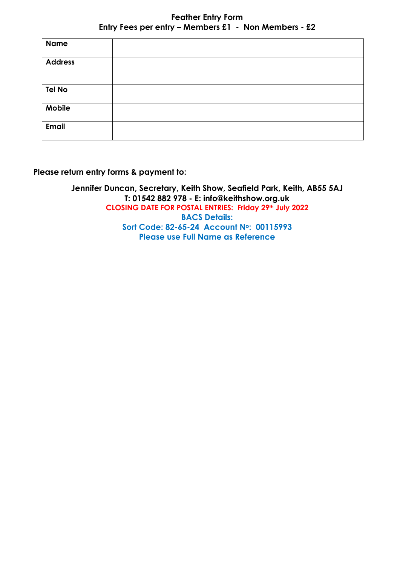| <b>Name</b>    |  |
|----------------|--|
| <b>Address</b> |  |
| <b>Tel No</b>  |  |
| Mobile         |  |
| <b>Email</b>   |  |

**Please return entry forms & payment to:**

**Jennifer Duncan, Secretary, Keith Show, Seafield Park, Keith, AB55 5AJ T: 01542 882 978 - E: [info@keithshow.org.uk](mailto:info@keithshow.org.uk) CLOSING DATE FOR POSTAL ENTRIES: Friday 29th July 2022 BACS Details: Sort Code: 82-65-24 Account No: 00115993 Please use Full Name as Reference**